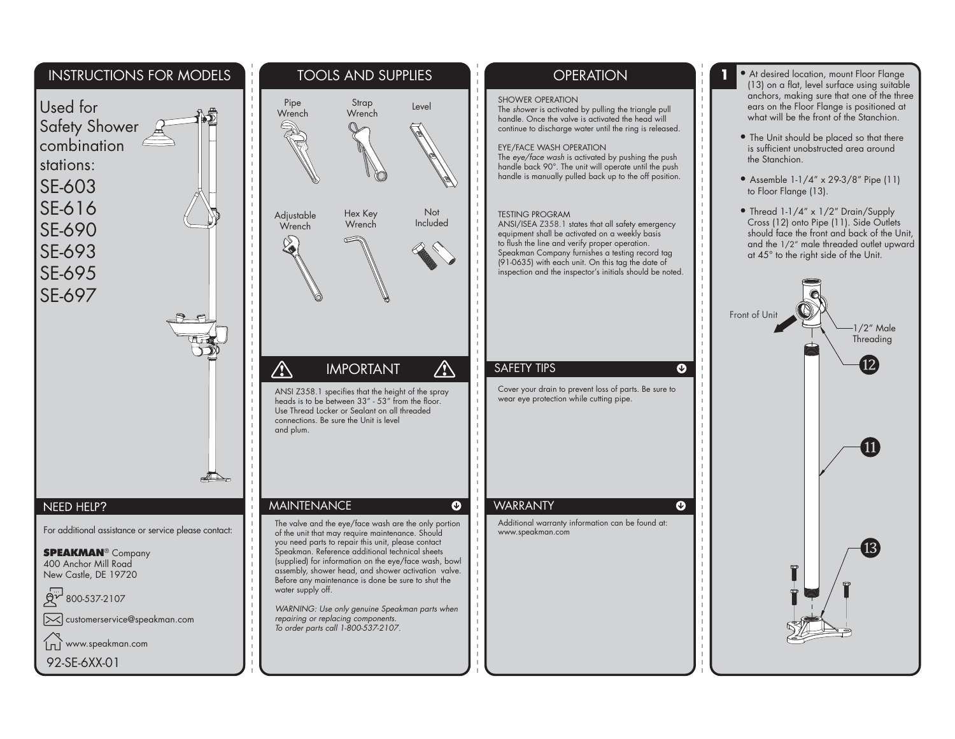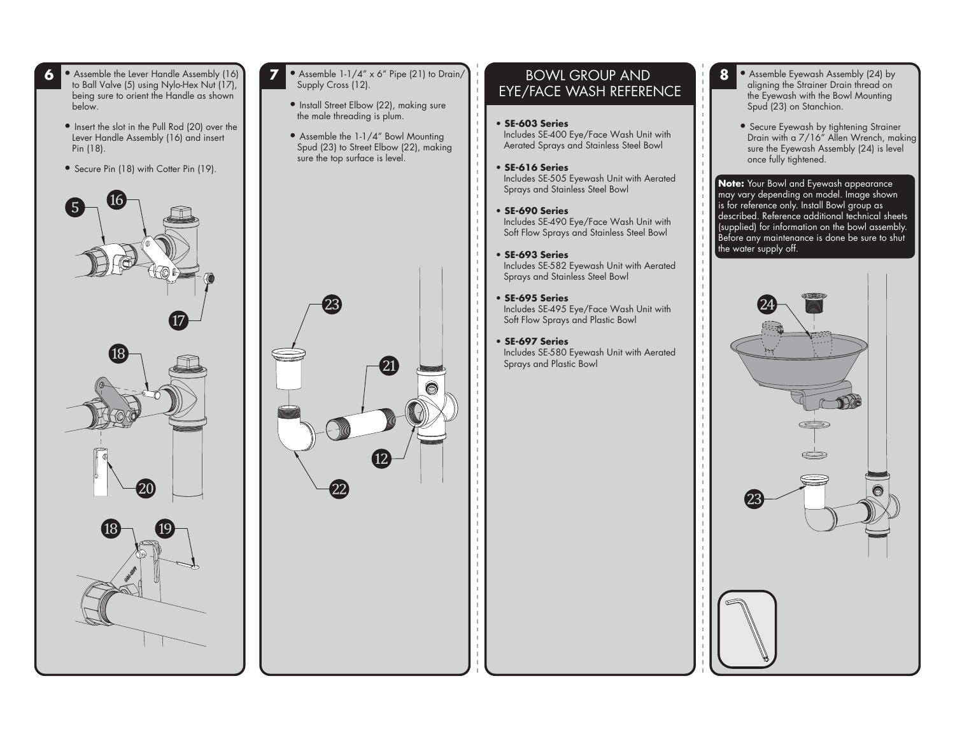• Assemble the Lever Handle Assembly (16) to Ball Valve (5) using Nylo-Hex Nut (17), being sure to orient the Handle as shown below.

**6**

- Insert the slot in the Pull Rod (20) over the Lever Handle Assembly (16) and insert Pin (18).
- Secure Pin (18) with Cotter Pin (19).







- **7** • Assemble 1-1/4" x 6" Pipe (21) to Drain/ Supply Cross (12).
	- Install Street Elbow (22), making sure the male threading is plum.
	- Assemble the 1-1/4" Bowl Mounting Spud (23) to Street Elbow (22), making sure the top surface is level.



#### BOWL GROUP AND EYE/FACE WASH REFERENCE

- **SE-603 Series** Includes SE-400 Eye/Face Wash Unit with Aerated Sprays and Stainless Steel Bowl
- **SE-616 Series** Includes SE-505 Eyewash Unit with Aerated Sprays and Stainless Steel Bowl
- **SE-690 Series** Includes SE-490 Eye/Face Wash Unit with Soft Flow Sprays and Stainless Steel Bowl
- **SE-693 Series** Includes SE-582 Eyewash Unit with Aerated Sprays and Stainless Steel Bowl
- **SE-695 Series** Includes SE-495 Eye/Face Wash Unit with Soft Flow Sprays and Plastic Bowl
- **SE-697 Series** Includes SE-580 Eyewash Unit with Aerated Sprays and Plastic Bowl
- **8** • Assemble Eyewash Assembly (24) by aligning the Strainer Drain thread on the Eyewash with the Bowl Mounting Spud (23) on Stanchion.
	- Secure Eyewash by tightening Strainer Drain with a 7/16" Allen Wrench, making sure the Eyewash Assembly (24) is level once fully tightened.

**Note:** Your Bowl and Eyewash appearance  $\mid$  may vary depending on model. Image shown is for reference only. Install Bowl group as described. Reference additional technical sheets (supplied) for information on the bowl assembly. Before any maintenance is done be sure to shut the water supply off.

![](_page_1_Picture_20.jpeg)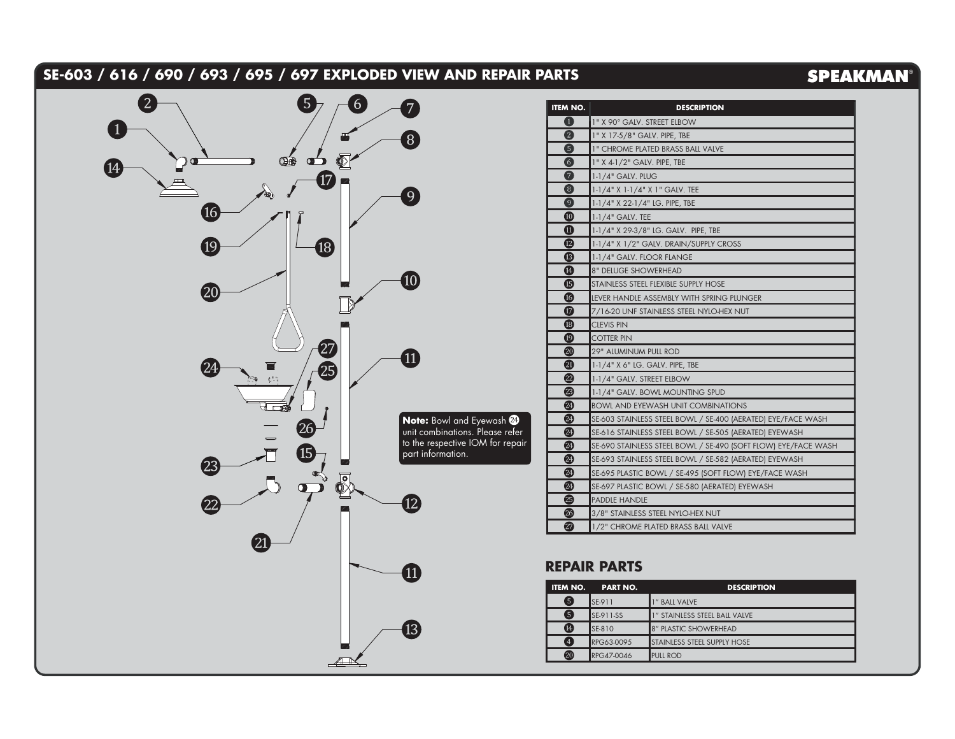## **SE-603 / 616 / 690 / 693 / 695 / 697 EXPLODED VIEW AND REPAIR PARTS**

# **SPEAKMAN®**

![](_page_2_Figure_2.jpeg)

| <b>ITEM NO.</b>                        | <b>DESCRIPTION</b>                                             |  |  |  |  |
|----------------------------------------|----------------------------------------------------------------|--|--|--|--|
| 0                                      | 1" X 90° GALV. STREET ELBOW                                    |  |  |  |  |
| (2)                                    | 1" X 17-5/8" GALV. PIPE, TBE                                   |  |  |  |  |
| 6                                      | 1" CHROME PLATED BRASS BALL VALVE                              |  |  |  |  |
| 6                                      | 1" X 4-1/2" GALV. PIPE, TBE                                    |  |  |  |  |
| $\boldsymbol{\sigma}$                  | 1-1/4" GALV, PLUG                                              |  |  |  |  |
| $\left(3\right)$                       | 1-1/4" X 1-1/4" X 1" GALV. TEE                                 |  |  |  |  |
| $\mathbf{O}$                           | 1-1/4" X 22-1/4" LG. PIPE, TBE                                 |  |  |  |  |
| $\boldsymbol{\textcircled{\small{1}}}$ | $1-1/4"$ GALV. TEE                                             |  |  |  |  |
| ⑪                                      | 1-1/4" X 29-3/8" LG, GALV, PIPE, TBE                           |  |  |  |  |
| $\mathbf{E}$                           | 1-1/4" X 1/2" GALV. DRAIN/SUPPLY CROSS                         |  |  |  |  |
| ®                                      | 1-1/4" GALV. FLOOR FLANGE                                      |  |  |  |  |
| ⊕                                      | <b>8" DELUGE SHOWERHEAD</b>                                    |  |  |  |  |
| ß                                      | STAINLESS STEEL FLEXIBLE SUPPLY HOSE                           |  |  |  |  |
| 16                                     | LEVER HANDLE ASSEMBLY WITH SPRING PLUNGER                      |  |  |  |  |
| $\bm \varpi$                           | 7/16-20 UNF STAINLESS STEEL NYLO-HEX NUT                       |  |  |  |  |
| ®                                      | <b>CLEVIS PIN</b>                                              |  |  |  |  |
| $\boldsymbol{\mathbb{\Omega}}$         | <b>COTTER PIN</b>                                              |  |  |  |  |
| $\boldsymbol{\Omega}$                  | <b>29" ALUMINUM PULL ROD</b>                                   |  |  |  |  |
| ☎                                      | 1-1/4" X 6" LG. GALV. PIPE, TBE                                |  |  |  |  |
| $\mathbf{22}$                          | 1-1/4" GALV. STREET ELBOW                                      |  |  |  |  |
| 23                                     | 1-1/4" GALV. BOWL MOUNTING SPUD                                |  |  |  |  |
| ☎                                      | <b>BOWL AND EYEWASH UNIT COMBINATIONS</b>                      |  |  |  |  |
| 24                                     | SE-603 STAINLESS STEEL BOWL / SE-400 (AERATED) EYE/FACE WASH   |  |  |  |  |
| $\boldsymbol{2}$                       | SE-616 STAINLESS STEEL BOWL / SE-505 (AERATED) EYEWASH         |  |  |  |  |
| 24                                     | SE-690 STAINLESS STEEL BOWL / SE-490 (SOFT FLOW) EYE/FACE WASH |  |  |  |  |
| $\bf{2}$                               | SE-693 STAINLESS STEEL BOWL / SE-582 (AERATED) EYEWASH         |  |  |  |  |
| 24                                     | SE-695 PLASTIC BOWL / SE-495 (SOFT FLOW) EYE/FACE WASH         |  |  |  |  |
| ☎                                      | SE-697 PLASTIC BOWL / SE-580 (AERATED) EYEWASH                 |  |  |  |  |
| ☎                                      | <b>PADDLE HANDLE</b>                                           |  |  |  |  |
| 26                                     | 3/8" STAINLESS STEEL NYLO-HEX NUT                              |  |  |  |  |
| Ø                                      | 1/2" CHROME PLATED BRASS BALL VALVE                            |  |  |  |  |

#### **REPAIR PARTS**

| <b>ITEM NO.</b> | <b>PART NO.</b>  | <b>DESCRIPTION</b>            |
|-----------------|------------------|-------------------------------|
| 6               | <b>SE-911</b>    | " BALL VALVE                  |
| 6               | <b>SE-911-SS</b> | 1" STAINLESS STEEL BALL VALVE |
| ⊕               | <b>SE-810</b>    | 8" PLASTIC SHOWERHEAD         |
| 4               | RPG63-0095       | STAINLESS STEEL SUPPLY HOSE   |
| ☎               | RPG47-0046       | <b>PULL ROD</b>               |